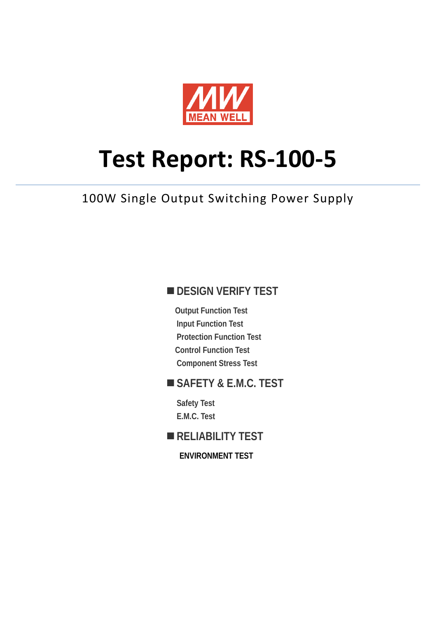

# **Test Report: RS-100-5**

100W Single Output Switching Power Supply

## **DESIGN VERIFY TEST**

**Output Function Test Input Function Test Protection Function Test Control Function Test Component Stress Test** 

### **SAFETY & E.M.C. TEST**

**Safety Test E.M.C. Test** 

# **RELIABILITY TEST**

**ENVIRONMENT TEST**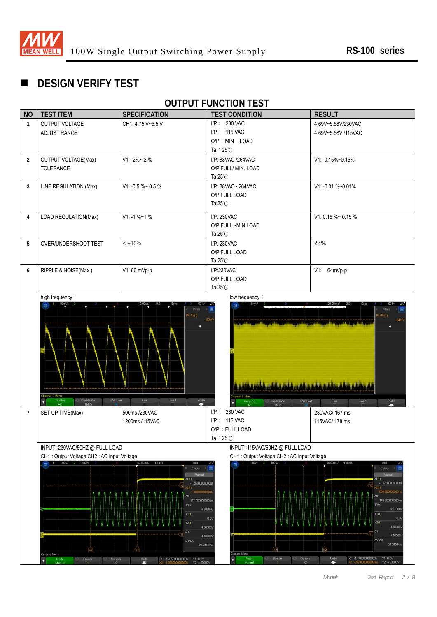

# **DESIGN VERIFY TEST**

# **OUTPUT FUNCTION TEST**

| <b>NO</b>      | <b>TEST ITEM</b>                                                       | <b>SPECIFICATION</b>                                                                                                                    | <b>TEST CONDITION</b>                                                                                                                                                                                   | <b>RESULT</b>                                                                                                                                                   |  |
|----------------|------------------------------------------------------------------------|-----------------------------------------------------------------------------------------------------------------------------------------|---------------------------------------------------------------------------------------------------------------------------------------------------------------------------------------------------------|-----------------------------------------------------------------------------------------------------------------------------------------------------------------|--|
| $\mathbf{1}$   | OUTPUT VOLTAGE<br>ADJUST RANGE                                         | CH1: 4.75 V~5.5 V                                                                                                                       | I/P: 230 VAC<br>I/P: 115 VAC                                                                                                                                                                            | 4.69V~5.58V/230VAC                                                                                                                                              |  |
|                |                                                                        |                                                                                                                                         | O/P : MIN LOAD                                                                                                                                                                                          | 4.69V~5.58V /115VAC                                                                                                                                             |  |
|                |                                                                        |                                                                                                                                         | Ta: $25^{\circ}$ C                                                                                                                                                                                      |                                                                                                                                                                 |  |
| $\overline{2}$ | <b>OUTPUT VOLTAGE(Max)</b>                                             | $V1: -2\% \sim 2\%$                                                                                                                     | I/P: 88VAC /264VAC                                                                                                                                                                                      | V1: -0.15%~0.15%                                                                                                                                                |  |
|                | TOLERANCE                                                              |                                                                                                                                         | O/P:FULL/ MIN. LOAD<br>Ta: $25^{\circ}$ C                                                                                                                                                               |                                                                                                                                                                 |  |
| 3              | LINE REGULATION (Max)                                                  | V1: -0.5 %~ 0.5 %                                                                                                                       | I/P: 88VAC~ 264VAC                                                                                                                                                                                      | V1: -0.01 %~0.01%                                                                                                                                               |  |
|                |                                                                        |                                                                                                                                         | O/P:FULL LOAD                                                                                                                                                                                           |                                                                                                                                                                 |  |
|                |                                                                        |                                                                                                                                         | Ta: $25^{\circ}$ C                                                                                                                                                                                      |                                                                                                                                                                 |  |
| 4              | LOAD REGULATION(Max)                                                   | $V1: -1 % -1 %$                                                                                                                         | I/P: 230VAC                                                                                                                                                                                             | $V1: 0.15 \%$ ~ 0.15 %                                                                                                                                          |  |
|                |                                                                        |                                                                                                                                         | O/P:FULL ~MIN LOAD<br>Ta: $25^{\circ}$ C                                                                                                                                                                |                                                                                                                                                                 |  |
| 5              | OVER/UNDERSHOOT TEST                                                   | $<$ $\pm$ 10%                                                                                                                           | I/P: 230VAC                                                                                                                                                                                             | 2.4%                                                                                                                                                            |  |
|                |                                                                        |                                                                                                                                         | O/P:FULL LOAD                                                                                                                                                                                           |                                                                                                                                                                 |  |
|                |                                                                        |                                                                                                                                         | Ta: $25^{\circ}$ C                                                                                                                                                                                      |                                                                                                                                                                 |  |
| 6              | RIPPLE & NOISE(Max)                                                    | V1: 80 mVp-p                                                                                                                            | I/P:230VAC<br>O/P:FULL LOAD                                                                                                                                                                             | V1: 64mVp-p                                                                                                                                                     |  |
|                |                                                                        |                                                                                                                                         | Ta: $25^{\circ}$ C                                                                                                                                                                                      |                                                                                                                                                                 |  |
|                | hannel 1 Menu<br>Impedance<br><b>BW Limit</b><br>Coupling<br>AC<br>IMQ | Fine<br>$\begin{array}{c}\n\text{Probe} \\ \text{ } & \end{array}$<br>Invert                                                            | التبريج والأبن والأنباء والشاريط وتبرير الكاري والمائل والأراب والألاب والأنابي<br>hannel 1 Menu<br>$\begin{array}{c}\n\text{impedance} \\ 1\text{M }\Omega\n\end{array}$<br>BW Limit<br>Coupling<br>AC | ٠<br>Fin <sub>e</sub><br>P <sub>robo</sub><br>Invert                                                                                                            |  |
| $\overline{7}$ | SET UP TIME(Max)                                                       | 500ms /230VAC                                                                                                                           | <b>230 VAC</b><br>IP:                                                                                                                                                                                   | 230VAC/ 167 ms                                                                                                                                                  |  |
|                |                                                                        | 1200ms /115VAC                                                                                                                          | I/P: 115 VAC<br>O/P: FULL LOAD                                                                                                                                                                          | 115VAC/ 178 ms                                                                                                                                                  |  |
|                |                                                                        |                                                                                                                                         | Ta: $25^{\circ}$ C                                                                                                                                                                                      |                                                                                                                                                                 |  |
|                | INPUT=230VAC/50HZ @ FULL LOAD                                          |                                                                                                                                         | INPUT=115VAC/60HZ @ FULL LOAD                                                                                                                                                                           |                                                                                                                                                                 |  |
|                | CH1: Output Voltage CH2: AC Input Voltage<br>$1 - 1.00V$<br>- 2        | 50.00ms/ -1.181s<br>Roll                                                                                                                | CH1: Output Voltage CH2: AC Input Voltage<br>1.00V/<br>100V                                                                                                                                             | 50.00ms/ -1.069s                                                                                                                                                |  |
|                |                                                                        | Curson<br>Manual<br>X1(1)<br>$-1.265000000000$<br>201<br>109800000000<br>$\Delta X$<br>167.00000000mm<br>$1/\Delta$ X<br>Y1(1)<br>Y2(1) | 5.9880Hz<br>0.0V                                                                                                                                                                                        | Curson<br>Manus<br>$x1(1)$ :<br>$-1.1700000000000$<br>Q(1)<br>99200000000<br>$\Delta X$<br>178.000000000m<br>$1/\Delta$ X<br>5.6180Hz<br>Y1(1)<br>0.01<br>Y2(1) |  |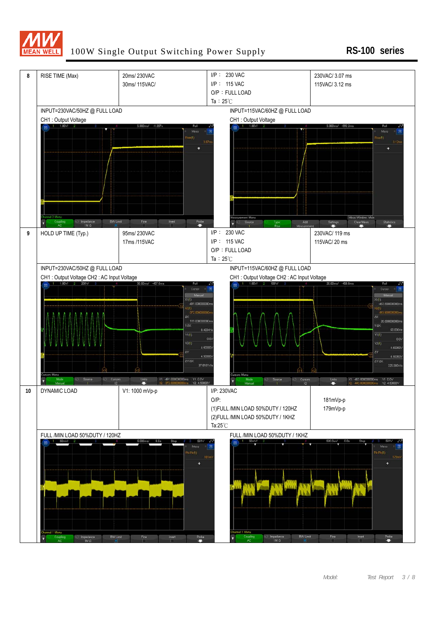

#### 100W Single Output Switching Power Supply **RS-100 series**

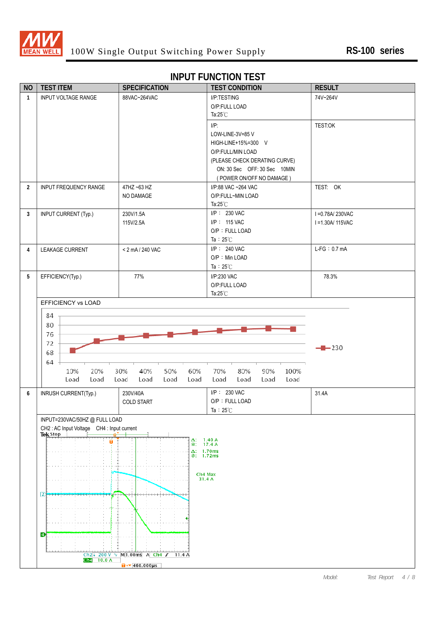

#### **INPUT FUNCTION TEST**

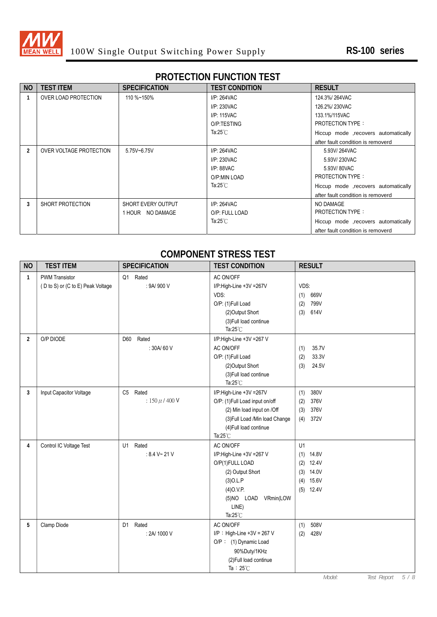

# **PROTECTION FUNCTION TEST**

| <b>NO</b>     | <b>TEST ITEM</b>        | <b>SPECIFICATION</b>      | <b>TEST CONDITION</b> | <b>RESULT</b>                        |
|---------------|-------------------------|---------------------------|-----------------------|--------------------------------------|
|               | OVER LOAD PROTECTION    | 110 %~150%                | $I/P: 264$ VAC        | 124.3%/264VAC                        |
|               |                         |                           | I/P: 230VAC           | 126.2%/230VAC                        |
|               |                         |                           | I/P: 115VAC           | 133.1%/115VAC                        |
|               |                         |                           | O/P:TESTING           | <b>PROTECTION TYPE:</b>              |
|               |                         |                           | Ta: $25^{\circ}$ C    | Hiccup mode , recovers automatically |
|               |                         |                           |                       | after fault condition is removerd    |
| $\mathcal{P}$ | OVER VOLTAGE PROTECTION | 5.75V~6.75V               | $I/P: 264$ VAC        | 5.93V/264VAC                         |
|               |                         |                           | I/P: 230VAC           | 5.93V/230VAC                         |
|               |                         |                           | $I/P: 88$ VAC         | 5.93V/80VAC                          |
|               |                         |                           | O/P:MIN LOAD          | <b>PROTECTION TYPE:</b>              |
|               |                         |                           | Ta:25 $°C$            | Hiccup mode , recovers automatically |
|               |                         |                           |                       | after fault condition is removerd    |
| 3             | SHORT PROTECTION        | <b>SHORT EVERY OUTPUT</b> | $I/P: 264$ VAC        | NO DAMAGE                            |
|               |                         | 1 HOUR NO DAMAGE          | O/P: FULL LOAD        | <b>PROTECTION TYPE:</b>              |
|               |                         |                           | Ta:25 $°C$            | Hiccup mode , recovers automatically |
|               |                         |                           |                       | after fault condition is removerd    |

#### **COMPONENT STRESS TEST**

| <b>NO</b>      | <b>TEST ITEM</b>                  | <b>SPECIFICATION</b> | <b>TEST CONDITION</b>          | <b>RESULT</b> |
|----------------|-----------------------------------|----------------------|--------------------------------|---------------|
| 1              | <b>PWM Transistor</b>             | Q1 Rated             | AC ON/OFF                      |               |
|                | (D to S) or (C to E) Peak Voltage | : 9A/ 900 V          | I/P:High-Line +3V =267V        | VDS:          |
|                |                                   |                      | VDS:                           | 669V<br>(1)   |
|                |                                   |                      | O/P: (1)Full Load              | 799V<br>(2)   |
|                |                                   |                      | (2) Output Short               | 614V<br>(3)   |
|                |                                   |                      | (3) Full load continue         |               |
|                |                                   |                      | Ta: $25^{\circ}$ C             |               |
| $\overline{2}$ | O/P DIODE                         | Rated<br>D60         | I/P:High-Line +3V =267 V       |               |
|                |                                   | : 30A/60 V           | AC ON/OFF                      | 35.7V<br>(1)  |
|                |                                   |                      | O/P: (1)Full Load              | 33.3V<br>(2)  |
|                |                                   |                      | (2) Output Short               | 24.5V<br>(3)  |
|                |                                   |                      | (3) Full load continue         |               |
|                |                                   |                      | Ta: $25^{\circ}$ C             |               |
| 3              | Input Capacitor Voltage           | C5 Rated             | I/P:High-Line +3V =267V        | 380V<br>(1)   |
|                |                                   | $: 150 \mu / 400 V$  | O/P: (1)Full Load input on/off | 376V<br>(2)   |
|                |                                   |                      | (2) Min load input on /Off     | 376V<br>(3)   |
|                |                                   |                      | (3) Full Load /Min load Change | 372V<br>(4)   |
|                |                                   |                      | (4) Full load continue         |               |
|                |                                   |                      | Ta: $25^{\circ}$ C             |               |
| 4              | Control IC Voltage Test           | Rated<br>U1          | AC ON/OFF                      | U1            |
|                |                                   | : 8.4 V~ 21 V        | I/P:High-Line +3V =267 V       | $(1)$ 14.8V   |
|                |                                   |                      | O/P(1)FULL LOAD                | 12.4V<br>(2)  |
|                |                                   |                      | (2) Output Short               | 14.0V<br>(3)  |
|                |                                   |                      | $(3)$ O.L.P                    | 15.6V<br>(4)  |
|                |                                   |                      | $(4)$ O.V.P.                   | $(5)$ 12.4V   |
|                |                                   |                      | (5)NO LOAD VRmin(LOW           |               |
|                |                                   |                      | LINE)                          |               |
|                |                                   |                      | Ta: $25^{\circ}$ C             |               |
| 5              | Clamp Diode                       | D1 Rated             | AC ON/OFF                      | 508V<br>(1)   |
|                |                                   | : 2A/ 1000 V         | $I/P$ : High-Line +3V = 267 V  | 428V<br>(2)   |
|                |                                   |                      | O/P: (1) Dynamic Load          |               |
|                |                                   |                      | 90%Duty/1KHz                   |               |
|                |                                   |                      | (2) Full load continue         |               |
|                |                                   |                      | Ta: $25^{\circ}$ C             |               |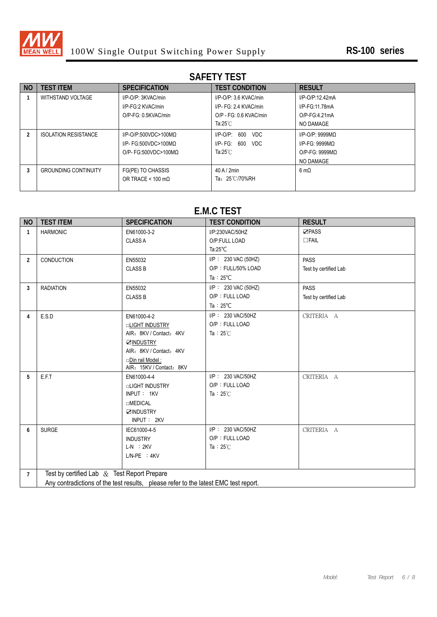

# **SAFETY TEST**

| N <sub>O</sub> | <b>TEST ITEM</b>            | <b>SPECIFICATION</b>             | <b>TEST CONDITION</b>         | <b>RESULT</b>       |
|----------------|-----------------------------|----------------------------------|-------------------------------|---------------------|
|                | WITHSTAND VOLTAGE           | I/P-O/P: 3KVAC/min               | $I/P$ -O/P: 3.6 KVAC/min      | I/P-O/P:12.42mA     |
|                |                             | I/P-FG:2 KVAC/min                | I/P- FG: 2.4 KVAC/min         | I/P-FG:11.78mA      |
|                |                             | O/P-FG: 0.5KVAC/min              | O/P - FG: 0.6 KVAC/min        | O/P-FG 4 21mA       |
|                |                             |                                  | Ta:25 $°C$                    | NO DAMAGE           |
|                | <b>ISOLATION RESISTANCE</b> | $I/P$ -O/P:500VDC>100MQ          | 600<br>$I/P$ -O/P:<br>VDC.    | $I/P$ -O/P: 9999MQ  |
|                |                             | I/P- FG:500VDC>100MQ             | 600<br><b>VDC</b><br>I/P- FG: | $I/P-FG: 9999MQ$    |
|                |                             | $O/P$ - FG:500VDC>100MQ          | Ta: $25^{\circ}$ C            | $O/P-FG: 9999MO$    |
|                |                             |                                  |                               | NO DAMAGE           |
| 3              | <b>GROUNDING CONTINUITY</b> | FG(PE) TO CHASSIS                | $40$ A / $2$ min              | $6 \text{ m}\Omega$ |
|                |                             | OR TRACE < $100 \text{ m}\Omega$ | Ta: 25℃/70%RH                 |                     |
|                |                             |                                  |                               |                     |

# **E.M.C TEST**

| <b>NO</b>      | <b>TEST ITEM</b>                                                                    | <b>SPECIFICATION</b>     | <b>TEST CONDITION</b> | <b>RESULT</b>         |  |  |  |
|----------------|-------------------------------------------------------------------------------------|--------------------------|-----------------------|-----------------------|--|--|--|
| $\mathbf{1}$   | <b>HARMONIC</b>                                                                     | EN61000-3-2              | I/P:230VAC/50HZ       | ☑PASS                 |  |  |  |
|                |                                                                                     | <b>CLASS A</b>           | O/P:FULL LOAD         | $\Box$ FAIL           |  |  |  |
|                |                                                                                     |                          | Ta: $25^{\circ}$ C    |                       |  |  |  |
| $\overline{2}$ | <b>CONDUCTION</b>                                                                   | EN55032                  | I/P: 230 VAC (50HZ)   | <b>PASS</b>           |  |  |  |
|                |                                                                                     | <b>CLASS B</b>           | O/P: FULL/50% LOAD    | Test by certified Lab |  |  |  |
|                |                                                                                     |                          | Ta: $25^{\circ}$ C    |                       |  |  |  |
| 3              | <b>RADIATION</b>                                                                    | EN55032                  | I/P: 230 VAC (50HZ)   | <b>PASS</b>           |  |  |  |
|                |                                                                                     | <b>CLASS B</b>           | O/P: FULL LOAD        | Test by certified Lab |  |  |  |
|                |                                                                                     |                          | Ta: $25^{\circ}$ C    |                       |  |  |  |
| 4              | E.S.D                                                                               | EN61000-4-2              | I/P: 230 VAC/50HZ     | CRITERIA A            |  |  |  |
|                |                                                                                     | <b>DLIGHT INDUSTRY</b>   | O/P: FULL LOAD        |                       |  |  |  |
|                |                                                                                     | AIR: 8KV / Contact: 4KV  | Ta: $25^\circ$ C      |                       |  |  |  |
|                |                                                                                     | <b>ØINDUSTRY</b>         |                       |                       |  |  |  |
|                |                                                                                     | AIR: 8KV / Contact: 4KV  |                       |                       |  |  |  |
|                |                                                                                     | Din rail Model:          |                       |                       |  |  |  |
|                |                                                                                     | AIR: 15KV / Contact: 8KV |                       |                       |  |  |  |
| 5              | E.F.T                                                                               | EN61000-4-4              | I/P: 230 VAC/50HZ     | CRITERIA A            |  |  |  |
|                |                                                                                     | <b>nLIGHT INDUSTRY</b>   | O/P: FULL LOAD        |                       |  |  |  |
|                |                                                                                     | INPUT: 1KV               | Ta: $25^\circ$ C      |                       |  |  |  |
|                |                                                                                     | <b>nMEDICAL</b>          |                       |                       |  |  |  |
|                |                                                                                     | <b>ZINDUSTRY</b>         |                       |                       |  |  |  |
|                |                                                                                     | INPUT: 2KV               |                       |                       |  |  |  |
| 6              | <b>SURGE</b>                                                                        | IEC61000-4-5             | I/P: 230 VAC/50HZ     | CRITERIA A            |  |  |  |
|                |                                                                                     | <b>INDUSTRY</b>          | O/P: FULL LOAD        |                       |  |  |  |
|                |                                                                                     | $L-N$ : $2KV$            | Ta: $25^\circ$ C      |                       |  |  |  |
|                |                                                                                     | $L/N-PE$ : $4KV$         |                       |                       |  |  |  |
| $\overline{7}$ | Test by certified Lab $&$ Test Report Prepare                                       |                          |                       |                       |  |  |  |
|                |                                                                                     |                          |                       |                       |  |  |  |
|                | Any contradictions of the test results, please refer to the latest EMC test report. |                          |                       |                       |  |  |  |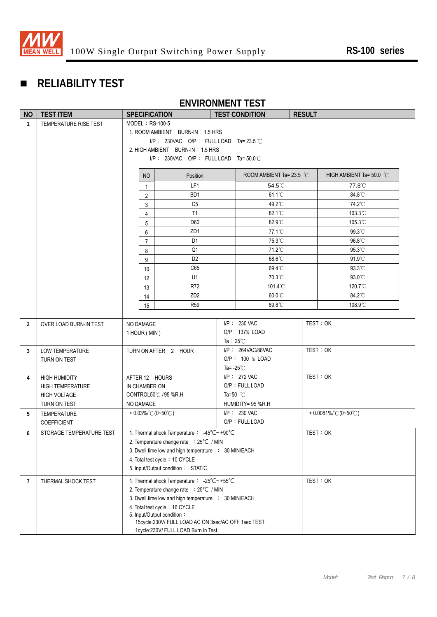

# **RELIABILITY TEST**

# **ENVIRONMENT TEST**

| <b>NO</b>      | <b>TEST ITEM</b>         |                                                             | <b>SPECIFICATION</b>                                 |                    | <b>TEST CONDITION</b>      | <b>RESULT</b>         |                          |
|----------------|--------------------------|-------------------------------------------------------------|------------------------------------------------------|--------------------|----------------------------|-----------------------|--------------------------|
| $\mathbf{1}$   | TEMPERATURE RISE TEST    | MODEL: RS-100-5                                             |                                                      |                    |                            |                       |                          |
|                |                          |                                                             | 1. ROOM AMBIENT BURN-IN: 1.5 HRS                     |                    |                            |                       |                          |
|                |                          |                                                             | I/P: 230VAC O/P: FULL LOAD Ta= 23.5 °C               |                    |                            |                       |                          |
|                |                          |                                                             | 2. HIGH AMBIENT BURN-IN: 1.5 HRS                     |                    |                            |                       |                          |
|                |                          |                                                             | I/P: 230VAC O/P: FULL LOAD Ta= $50.0^{\circ}$ C      |                    |                            |                       |                          |
|                |                          | NO                                                          | Position                                             |                    | ROOM AMBIENT Ta= 23.5 $°C$ |                       | HIGH AMBIENT Ta= 50.0 °C |
|                |                          | $\mathbf{1}$                                                | LF1                                                  |                    | 54.5°C                     |                       | 77.8°C                   |
|                |                          | 2                                                           | BD <sub>1</sub>                                      |                    |                            |                       | 84.8°C                   |
|                |                          | 3                                                           | C <sub>5</sub>                                       |                    |                            |                       | 74.2°C                   |
|                |                          | $\overline{4}$                                              | T1                                                   |                    |                            |                       | 103.3°C                  |
|                |                          | 5                                                           | D60                                                  |                    | 82.9°C                     |                       | 105.3°C                  |
|                |                          | 6                                                           | ZD <sub>1</sub>                                      |                    | 77.1°C                     |                       | 99.3°C                   |
|                |                          | $\overline{7}$                                              | D <sub>1</sub>                                       |                    | 75.3°C                     |                       | 96.8°C                   |
|                |                          | 8                                                           | Q1                                                   |                    | 71.2°C                     |                       | 95.3°C                   |
|                |                          | 9                                                           | D <sub>2</sub>                                       |                    | 68.6°C                     |                       | 91.9°C                   |
|                |                          | 10                                                          | C65                                                  |                    | 69.4°C                     |                       | 93.3°C                   |
|                |                          | 12                                                          | U1                                                   |                    | 70.3°C                     |                       | 93.0°C                   |
|                |                          | 13                                                          | R72                                                  |                    | 101.4°C                    |                       | 120.7°C                  |
|                |                          | 14                                                          | ZD <sub>2</sub>                                      |                    | 60.0°C                     |                       | 84.2°C                   |
|                |                          | 15                                                          | <b>R59</b>                                           |                    | 89.8°C                     |                       | 108.9°C                  |
|                |                          |                                                             |                                                      |                    | $I/P$ : 230 VAC            |                       | TEST: OK                 |
| $\overline{2}$ | OVER LOAD BURN-IN TEST   |                                                             | NO DAMAGE<br>O/P: 137% LOAD                          |                    |                            |                       |                          |
|                |                          |                                                             | 1 HOUR (MIN)<br>Ta: $25^{\circ}$ C                   |                    |                            |                       |                          |
| 3              | <b>LOW TEMPERATURE</b>   | I/P: 264VAC/88VAC<br>TURN ON AFTER 2 HOUR                   |                                                      |                    | TEST: OK                   |                       |                          |
|                | TURN ON TEST             |                                                             |                                                      | O/P: 100 % LOAD    |                            |                       |                          |
|                |                          |                                                             | Ta= $-25^{\circ}$ C                                  |                    |                            |                       |                          |
| 4              | <b>HIGH HUMIDITY</b>     | $I/P$ : 272 VAC<br>AFTER 12 HOURS                           |                                                      |                    |                            | TEST: OK              |                          |
|                | <b>HIGH TEMPERATURE</b>  | IN CHAMBER ON                                               |                                                      |                    | O/P: FULL LOAD             |                       |                          |
|                | <b>HIGH VOLTAGE</b>      |                                                             | CONTROL50℃ / 95 %R.H                                 | Ta=50 $^{\circ}$ C |                            |                       |                          |
|                | TURN ON TEST             | HUMIDITY= 95 %R.H<br>NO DAMAGE                              |                                                      |                    |                            |                       |                          |
| 5              | TEMPERATURE              | I/P: 230 VAC<br>$+0.03\%$ (0~50°C)                          |                                                      |                    |                            | $+0.0081\%$ (0~50 °C) |                          |
|                | <b>COEFFICIENT</b>       | O/P: FULL LOAD                                              |                                                      |                    |                            |                       |                          |
| 6              | STORAGE TEMPERATURE TEST | 1. Thermal shock Temperature : -45°C~ +90°C<br>TEST: OK     |                                                      |                    |                            |                       |                          |
|                |                          | 2. Temperature change rate : 25°C / MIN                     |                                                      |                    |                            |                       |                          |
|                |                          | 3. Dwell time low and high temperature : 30 MIN/EACH        |                                                      |                    |                            |                       |                          |
|                |                          | 4. Total test cycle: 10 CYCLE                               |                                                      |                    |                            |                       |                          |
|                |                          | 5. Input/Output condition: STATIC                           |                                                      |                    |                            |                       |                          |
| 7              | THERMAL SHOCK TEST       |                                                             | 1. Thermal shock Temperature: -25°C~+55°C            |                    |                            |                       | TEST: OK                 |
|                |                          |                                                             | 2. Temperature change rate : 25°C / MIN              |                    |                            |                       |                          |
|                |                          |                                                             | 3. Dwell time low and high temperature : 30 MIN/EACH |                    |                            |                       |                          |
|                |                          | 4. Total test cycle: 16 CYCLE<br>5. Input/Output condition: |                                                      |                    |                            |                       |                          |
|                |                          |                                                             | 15cycle:230V/ FULL LOAD AC ON 3sec/AC OFF 1sec TEST  |                    |                            |                       |                          |
|                |                          |                                                             | 1cycle:230V/ FULL LOAD Burn In Test                  |                    |                            |                       |                          |